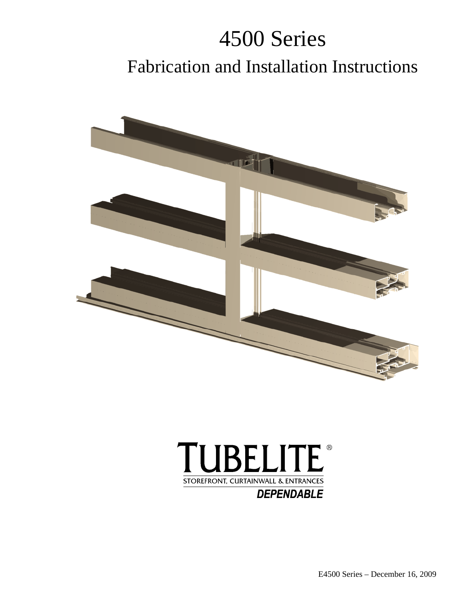# 4500 Series Fabrication and Installation Instructions





E4500 Series – December 16, 2009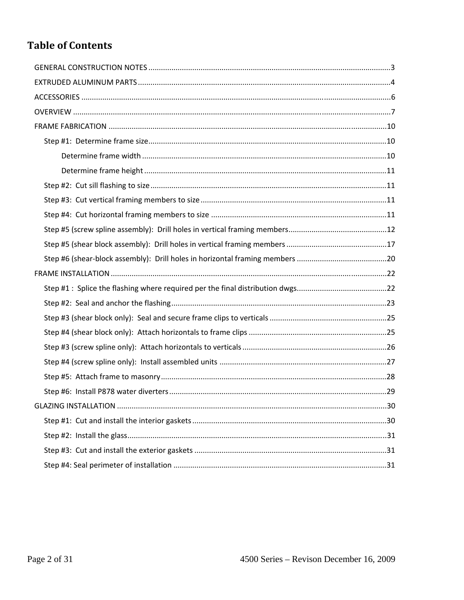## **Table of Contents**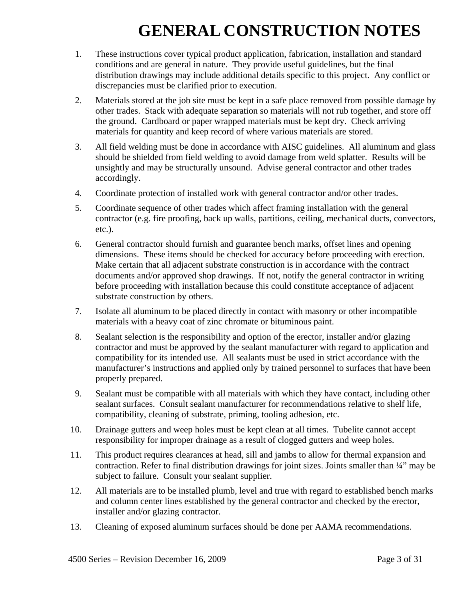## **GENERAL CONSTRUCTION NOTES**

- 1. These instructions cover typical product application, fabrication, installation and standard conditions and are general in nature. They provide useful guidelines, but the final distribution drawings may include additional details specific to this project. Any conflict or discrepancies must be clarified prior to execution.
- 2. Materials stored at the job site must be kept in a safe place removed from possible damage by other trades. Stack with adequate separation so materials will not rub together, and store off the ground. Cardboard or paper wrapped materials must be kept dry. Check arriving materials for quantity and keep record of where various materials are stored.
- 3. All field welding must be done in accordance with AISC guidelines. All aluminum and glass should be shielded from field welding to avoid damage from weld splatter. Results will be unsightly and may be structurally unsound. Advise general contractor and other trades accordingly.
- 4. Coordinate protection of installed work with general contractor and/or other trades.
- 5. Coordinate sequence of other trades which affect framing installation with the general contractor (e.g. fire proofing, back up walls, partitions, ceiling, mechanical ducts, convectors, etc.).
- 6. General contractor should furnish and guarantee bench marks, offset lines and opening dimensions. These items should be checked for accuracy before proceeding with erection. Make certain that all adjacent substrate construction is in accordance with the contract documents and/or approved shop drawings. If not, notify the general contractor in writing before proceeding with installation because this could constitute acceptance of adjacent substrate construction by others.
- 7. Isolate all aluminum to be placed directly in contact with masonry or other incompatible materials with a heavy coat of zinc chromate or bituminous paint.
- 8. Sealant selection is the responsibility and option of the erector, installer and/or glazing contractor and must be approved by the sealant manufacturer with regard to application and compatibility for its intended use. All sealants must be used in strict accordance with the manufacturer's instructions and applied only by trained personnel to surfaces that have been properly prepared.
- 9. Sealant must be compatible with all materials with which they have contact, including other sealant surfaces. Consult sealant manufacturer for recommendations relative to shelf life, compatibility, cleaning of substrate, priming, tooling adhesion, etc.
- 10. Drainage gutters and weep holes must be kept clean at all times. Tubelite cannot accept responsibility for improper drainage as a result of clogged gutters and weep holes.
- 11. This product requires clearances at head, sill and jambs to allow for thermal expansion and contraction. Refer to final distribution drawings for joint sizes. Joints smaller than ¼" may be subject to failure. Consult your sealant supplier.
- 12. All materials are to be installed plumb, level and true with regard to established bench marks and column center lines established by the general contractor and checked by the erector, installer and/or glazing contractor.
- 13. Cleaning of exposed aluminum surfaces should be done per AAMA recommendations.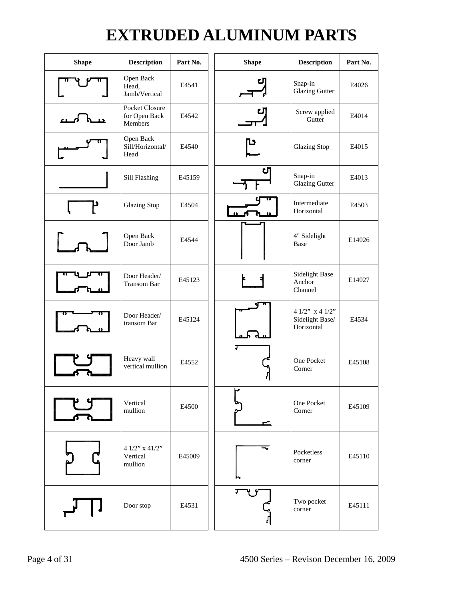## **EXTRUDED ALUMINUM PARTS**

| <b>Shape</b> | <b>Description</b>                                | Part No. | <b>Shape</b> | <b>Description</b>                                 | Part No. |
|--------------|---------------------------------------------------|----------|--------------|----------------------------------------------------|----------|
|              | Open Back<br>Head,<br>Jamb/Vertical               | E4541    |              | Snap-in<br><b>Glazing Gutter</b>                   | E4026    |
| ட            | <b>Pocket Closure</b><br>for Open Back<br>Members | E4542    | CЛ           | Screw applied<br>Gutter                            | E4014    |
|              | Open Back<br>Sill/Horizontal/<br>Head             | E4540    | טן           | <b>Glazing Stop</b>                                | E4015    |
|              | Sill Flashing                                     | E45159   | CЛ           | Snap-in<br><b>Glazing Gutter</b>                   | E4013    |
| ۲            | <b>Glazing Stop</b>                               | E4504    |              | Intermediate<br>Horizontal                         | E4503    |
|              | Open Back<br>Door Jamb                            | E4544    |              | 4" Sidelight<br>Base                               | E14026   |
|              | Door Header/<br>Transom Bar                       | E45123   |              | Sidelight Base<br>Anchor<br>Channel                | E14027   |
|              | Door Header/<br>transom Bar                       | E45124   |              | 4 1/2" $x$ 4 1/2"<br>Sidelight Base/<br>Horizontal | E4534    |
|              | Heavy wall<br>vertical mullion                    | E4552    |              | One Pocket<br>Corner                               | E45108   |
|              | Vertical<br>mullion                               | E4500    | ⊬<br>▱       | One Pocket<br>Corner                               | E45109   |
|              | 4 1/2" x 41/2"<br>Vertical<br>mullion             | E45009   |              | Pocketless<br>corner                               | E45110   |
|              | Door stop                                         | E4531    | Ţ            | Two pocket<br>corner                               | E45111   |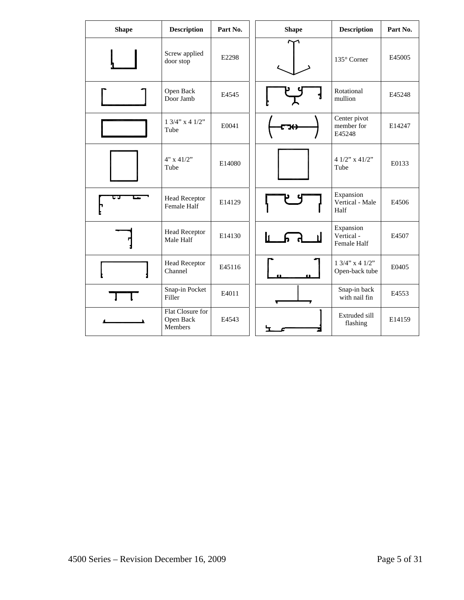| <b>Shape</b> | <b>Description</b>                            | Part No. | <b>Shape</b> | <b>Description</b>                                      | Part No. |
|--------------|-----------------------------------------------|----------|--------------|---------------------------------------------------------|----------|
|              | Screw applied<br>door stop                    | E2298    |              | 135° Corner                                             | E45005   |
|              | Open Back<br>Door Jamb                        | E4545    |              | Rotational<br>mullion                                   | E45248   |
|              | $1 \frac{3}{4}$ " x 4 $\frac{1}{2}$ "<br>Tube | E0041    |              | Center pivot<br>member for<br>E45248                    | E14247   |
|              | $4" \times 41/2"$<br>Tube                     | E14080   |              | 4 $1/2$ " x $41/2$ "<br>Tube                            | E0133    |
|              | <b>Head Receptor</b><br>Female Half           | E14129   |              | Expansion<br>Vertical - Male<br>Half                    | E4506    |
|              | <b>Head Receptor</b><br>Male Half             | E14130   |              | Expansion<br>Vertical -<br>Female Half                  | E4507    |
|              | <b>Head Receptor</b><br>Channel               | E45116   |              | $1 \frac{3}{4}$ " x 4 $\frac{1}{2}$ "<br>Open-back tube | E0405    |
|              | Snap-in Pocket<br>Filler                      | E4011    |              | Snap-in back<br>with nail fin                           | E4553    |
|              | Flat Closure for<br>Open Back<br>Members      | E4543    |              | Extruded sill<br>flashing                               | E14159   |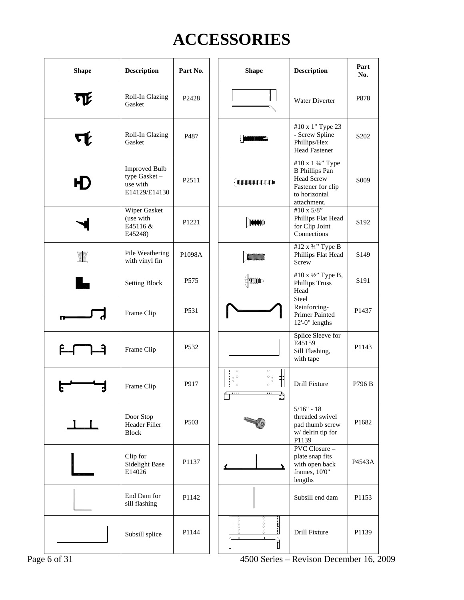## **ACCESSORIES**

| <b>Shape</b>                   | <b>Description</b>                                                | Part No.            | <b>Shape</b>                                                                                                     | <b>Description</b>                                                                                                   | Part<br>No.      |
|--------------------------------|-------------------------------------------------------------------|---------------------|------------------------------------------------------------------------------------------------------------------|----------------------------------------------------------------------------------------------------------------------|------------------|
|                                | Roll-In Glazing<br>Gasket                                         | P2428               |                                                                                                                  | Water Diverter                                                                                                       | P878             |
|                                | Roll-In Glazing<br>Gasket                                         | P <sub>487</sub>    | HIMMONDONIA                                                                                                      | #10 x 1" Type 23<br>- Screw Spline<br>Phillips/Hex<br><b>Head Fastener</b>                                           | S <sub>202</sub> |
|                                | <b>Improved Bulb</b><br>type Gasket-<br>use with<br>E14129/E14130 | P2511               | d immunummun                                                                                                     | #10 x 1 3/4" Type<br><b>B</b> Phillips Pan<br><b>Head Screw</b><br>Fastener for clip<br>to horizontal<br>attachment. | S <sub>009</sub> |
|                                | Wiper Gasket<br>(use with<br>E45116 &<br>E45248)                  | P <sub>1221</sub>   | <b>MANAMAN</b>                                                                                                   | #10 x 5/8"<br>Phillips Flat Head<br>for Clip Joint<br>Connections                                                    | S <sub>192</sub> |
| WW                             | Pile Weathering<br>with vinyl fin                                 | P <sub>1098</sub> A |                                                                                                                  | #12 x 3/4" Type B<br>Phillips Flat Head<br>Screw                                                                     | S <sub>149</sub> |
|                                | <b>Setting Block</b>                                              | P <sub>575</sub>    | <b>EMMMOD</b>                                                                                                    | #10 x 1/2" Type B,<br><b>Phillips Truss</b><br>Head                                                                  | S <sub>191</sub> |
|                                | Frame Clip                                                        | P <sub>531</sub>    |                                                                                                                  | Steel<br>Reinforcing-<br><b>Primer Painted</b><br>12'-0" lengths                                                     | P1437            |
| ET<br>$\overline{\phantom{a}}$ | Frame Clip                                                        | P <sub>532</sub>    |                                                                                                                  | Splice Sleeve for<br>E45159<br>Sill Flashing,<br>with tape                                                           | P1143            |
|                                | Frame Clip                                                        | P917                | $\overline{\circ}$<br>$\circ$<br>$_{\rm o}$ o<br>$\circ$ <sub>°</sub><br>따<br>$\circ$<br>$\circ$<br>$\circ$<br>m | <b>Drill Fixture</b>                                                                                                 | P796 B           |
| $\perp$                        | Door Stop<br>Header Filler<br><b>Block</b>                        | P503                |                                                                                                                  | $5/16" - 18$<br>threaded swivel<br>pad thumb screw<br>w/ delrin tip for<br>P1139                                     | P1682            |
|                                | Clip for<br><b>Sidelight Base</b><br>E14026                       | P1137               |                                                                                                                  | PVC Closure -<br>plate snap fits<br>with open back<br>frames, 10'0"<br>lengths                                       | P4543A           |
|                                | End Dam for<br>sill flashing                                      | P1142               |                                                                                                                  | Subsill end dam                                                                                                      | P1153            |
|                                | Subsill splice                                                    | P1144               | 00000<br>$\frac{1}{2}$<br>00000<br>É                                                                             | Drill Fixture                                                                                                        | P1139            |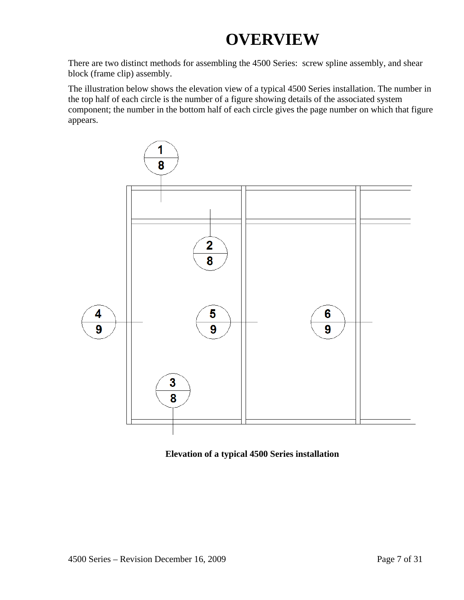## **OVERVIEW**

There are two distinct methods for assembling the 4500 Series: screw spline assembly, and shear block (frame clip) assembly.

The illustration below shows the elevation view of a typical 4500 Series installation. The number in the top half of each circle is the number of a figure showing details of the associated system component; the number in the bottom half of each circle gives the page number on which that figure appears.



**Elevation of a typical 4500 Series installation**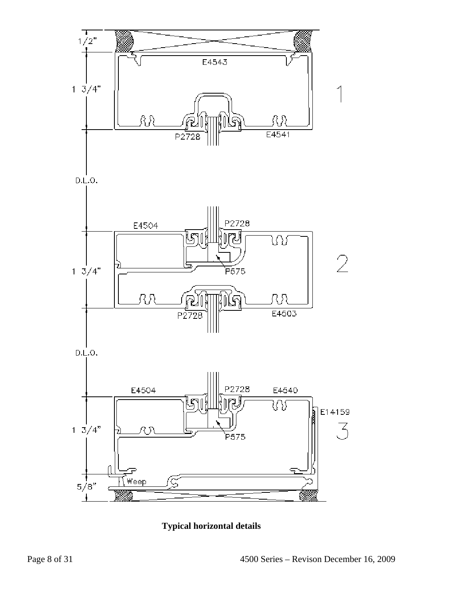

p.e.o.



p.e.o.



**Typical horizontal details**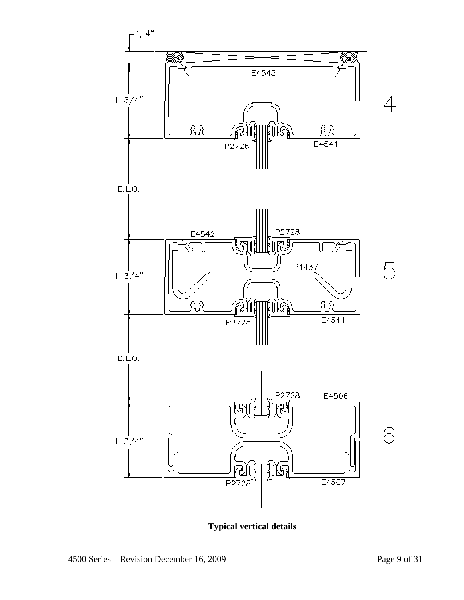

**Typical vertical details**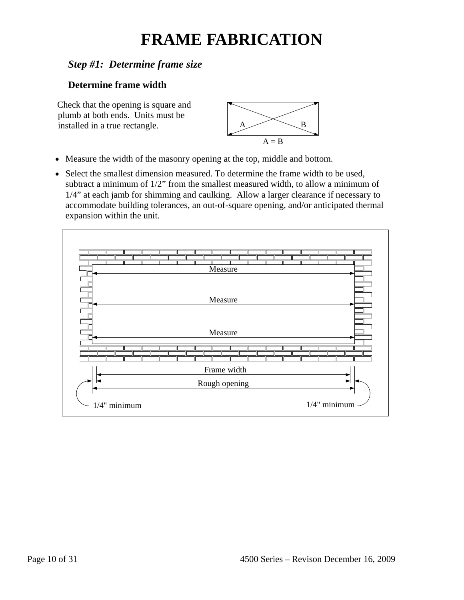## **FRAME FABRICATION**

## *Step #1: Determine frame size*

#### **Determine frame width**

Check that the opening is square and plumb at both ends. Units must be installed in a true rectangle.  $A \longrightarrow B$ 



- Measure the width of the masonry opening at the top, middle and bottom.
- Select the smallest dimension measured. To determine the frame width to be used, subtract a minimum of 1/2" from the smallest measured width, to allow a minimum of 1/4" at each jamb for shimming and caulking. Allow a larger clearance if necessary to accommodate building tolerances, an out-of-square opening, and/or anticipated thermal expansion within the unit.

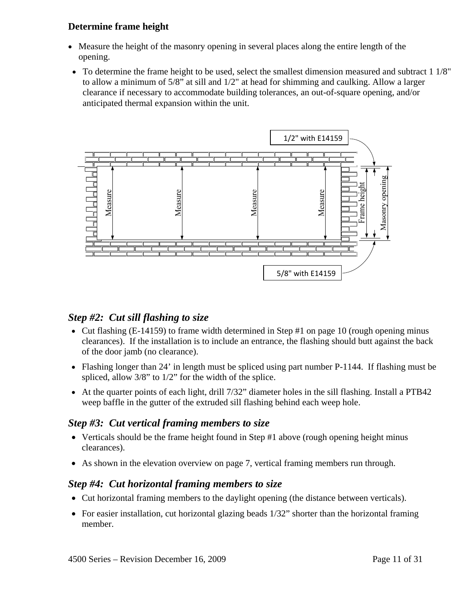#### **Determine frame height**

- Measure the height of the masonry opening in several places along the entire length of the opening.
- To determine the frame height to be used, select the smallest dimension measured and subtract 1 1/8" to allow a minimum of 5/8" at sill and 1/2" at head for shimming and caulking. Allow a larger clearance if necessary to accommodate building tolerances, an out-of-square opening, and/or anticipated thermal expansion within the unit.



#### *Step #2: Cut sill flashing to size*

- Cut flashing (E-14159) to frame width determined in Step #1 on page 10 (rough opening minus clearances). If the installation is to include an entrance, the flashing should butt against the back of the door jamb (no clearance).
- Flashing longer than 24' in length must be spliced using part number P-1144. If flashing must be spliced, allow 3/8" to 1/2" for the width of the splice.
- At the quarter points of each light, drill 7/32" diameter holes in the sill flashing. Install a PTB42 weep baffle in the gutter of the extruded sill flashing behind each weep hole.

#### *Step #3: Cut vertical framing members to size*

- Verticals should be the frame height found in Step #1 above (rough opening height minus clearances).
- As shown in the elevation overview on page 7, vertical framing members run through.

#### *Step #4: Cut horizontal framing members to size*

- Cut horizontal framing members to the daylight opening (the distance between verticals).
- For easier installation, cut horizontal glazing beads 1/32" shorter than the horizontal framing member.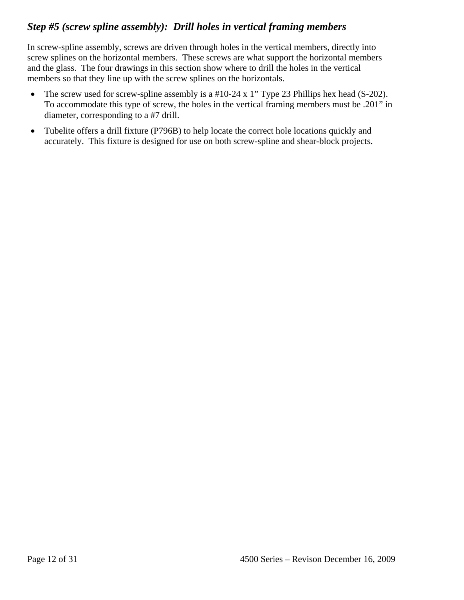## *Step #5 (screw spline assembly): Drill holes in vertical framing members*

In screw-spline assembly, screws are driven through holes in the vertical members, directly into screw splines on the horizontal members. These screws are what support the horizontal members and the glass. The four drawings in this section show where to drill the holes in the vertical members so that they line up with the screw splines on the horizontals.

- The screw used for screw-spline assembly is a #10-24 x 1" Type 23 Phillips hex head (S-202). To accommodate this type of screw, the holes in the vertical framing members must be .201" in diameter, corresponding to a #7 drill.
- Tubelite offers a drill fixture (P796B) to help locate the correct hole locations quickly and accurately. This fixture is designed for use on both screw-spline and shear-block projects.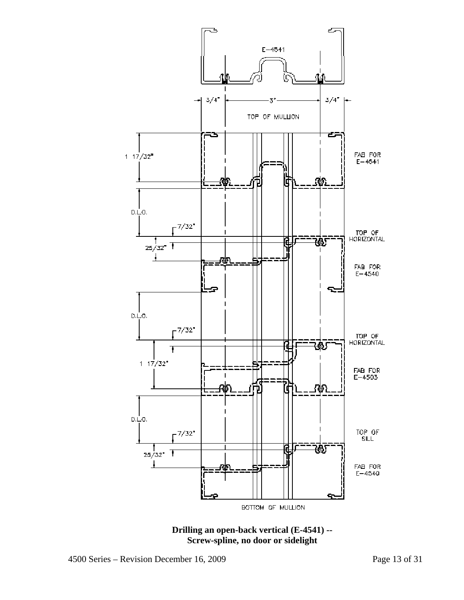

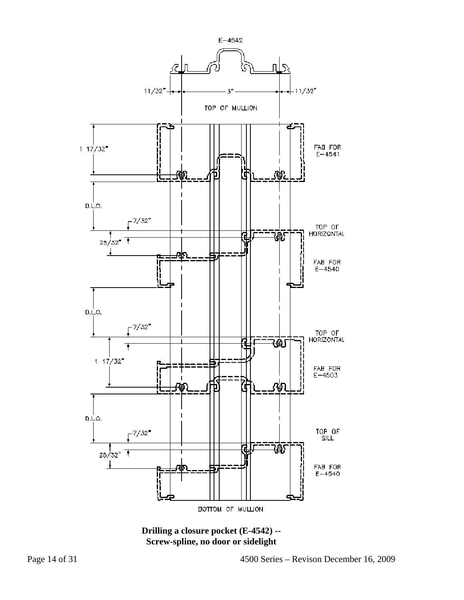

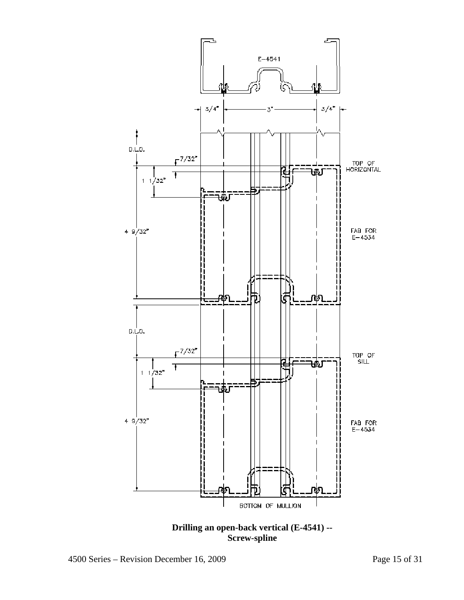

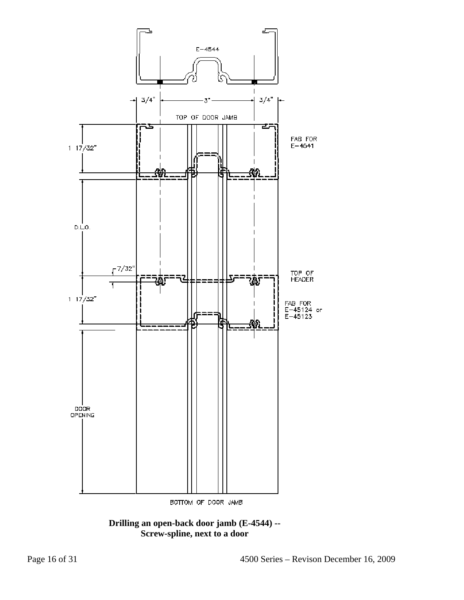

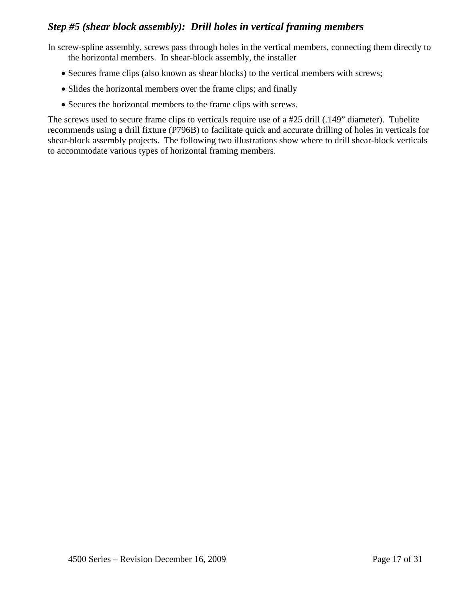### *Step #5 (shear block assembly): Drill holes in vertical framing members*

 In screw-spline assembly, screws pass through holes in the vertical members, connecting them directly to the horizontal members. In shear-block assembly, the installer

- Secures frame clips (also known as shear blocks) to the vertical members with screws;
- Slides the horizontal members over the frame clips; and finally
- Secures the horizontal members to the frame clips with screws.

The screws used to secure frame clips to verticals require use of a #25 drill (.149" diameter). Tubelite recommends using a drill fixture (P796B) to facilitate quick and accurate drilling of holes in verticals for shear-block assembly projects. The following two illustrations show where to drill shear-block verticals to accommodate various types of horizontal framing members.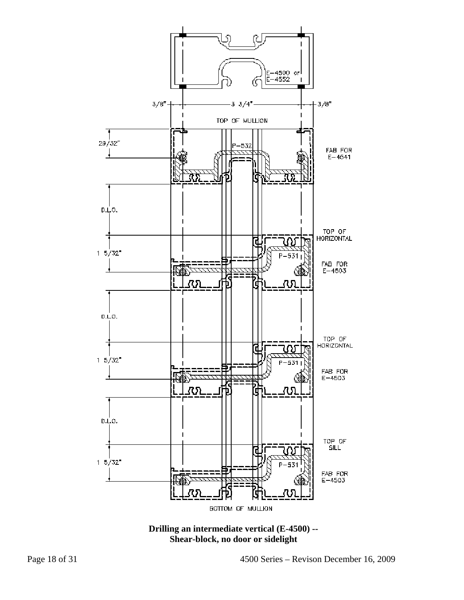

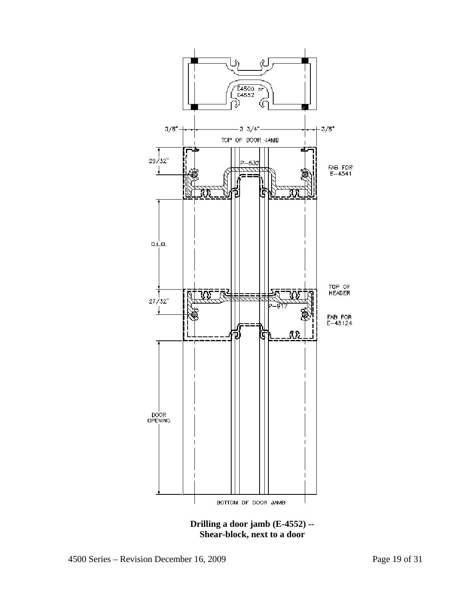

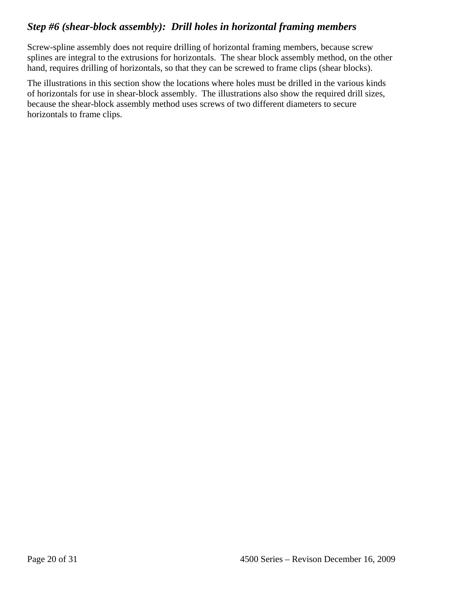## *Step #6 (shear-block assembly): Drill holes in horizontal framing members*

Screw-spline assembly does not require drilling of horizontal framing members, because screw splines are integral to the extrusions for horizontals. The shear block assembly method, on the other hand, requires drilling of horizontals, so that they can be screwed to frame clips (shear blocks).

The illustrations in this section show the locations where holes must be drilled in the various kinds of horizontals for use in shear-block assembly. The illustrations also show the required drill sizes, because the shear-block assembly method uses screws of two different diameters to secure horizontals to frame clips.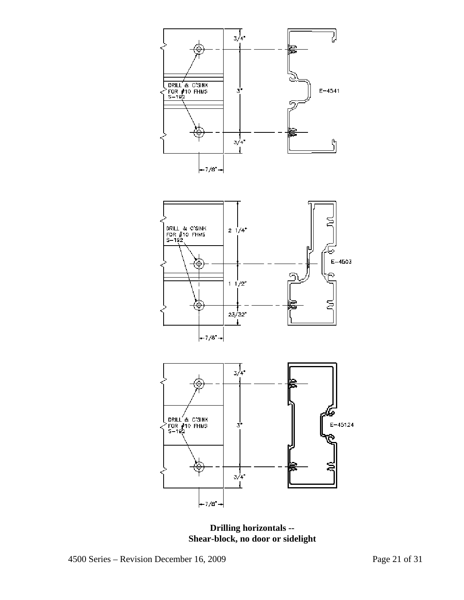



**Drilling horizontals -- Shear-block, no door or sidelight**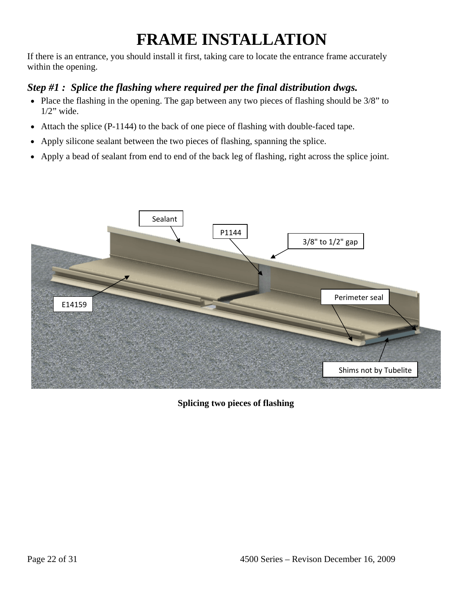## **FRAME INSTALLATION**

If there is an entrance, you should install it first, taking care to locate the entrance frame accurately within the opening.

## *Step #1 : Splice the flashing where required per the final distribution dwgs.*

- Place the flashing in the opening. The gap between any two pieces of flashing should be 3/8" to  $1/2$ " wide.
- Attach the splice (P-1144) to the back of one piece of flashing with double-faced tape.
- Apply silicone sealant between the two pieces of flashing, spanning the splice.
- Apply a bead of sealant from end to end of the back leg of flashing, right across the splice joint.



**Splicing two pieces of flashing**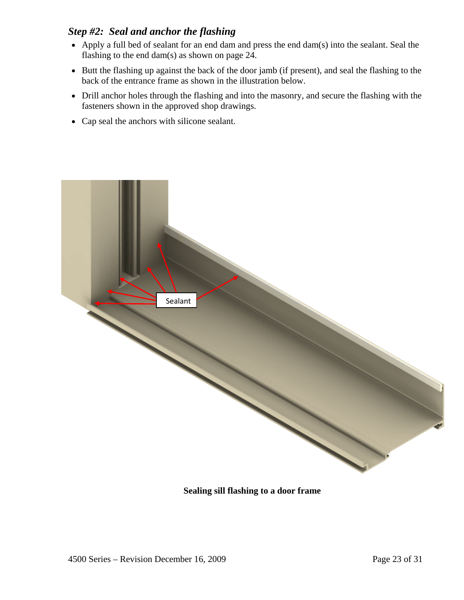#### *Step #2: Seal and anchor the flashing*

- Apply a full bed of sealant for an end dam and press the end dam(s) into the sealant. Seal the flashing to the end dam(s) as shown on page 24.
- Butt the flashing up against the back of the door jamb (if present), and seal the flashing to the back of the entrance frame as shown in the illustration below.
- Drill anchor holes through the flashing and into the masonry, and secure the flashing with the fasteners shown in the approved shop drawings.
- Cap seal the anchors with silicone sealant.



#### **Sealing sill flashing to a door frame**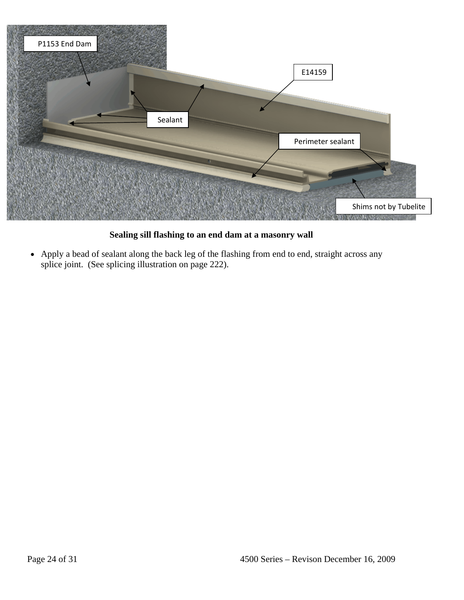

**Sealing sill flashing to an end dam at a masonry wall** 

• Apply a bead of sealant along the back leg of the flashing from end to end, straight across any splice joint. (See splicing illustration on page 222).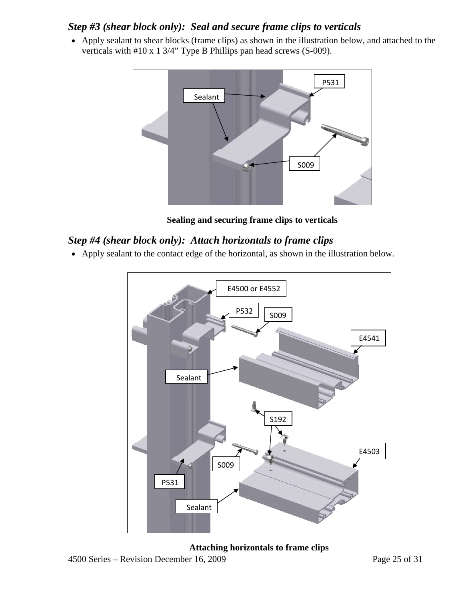### *Step #3 (shear block only): Seal and secure frame clips to verticals*

• Apply sealant to shear blocks (frame clips) as shown in the illustration below, and attached to the verticals with #10 x 1 3/4" Type B Phillips pan head screws (S-009).



**Sealing and securing frame clips to verticals** 

### *Step #4 (shear block only): Attach horizontals to frame clips*

• Apply sealant to the contact edge of the horizontal, as shown in the illustration below.



4500 Series – Revision December 16, 2009 Page 25 of 31 **Attaching horizontals to frame clips**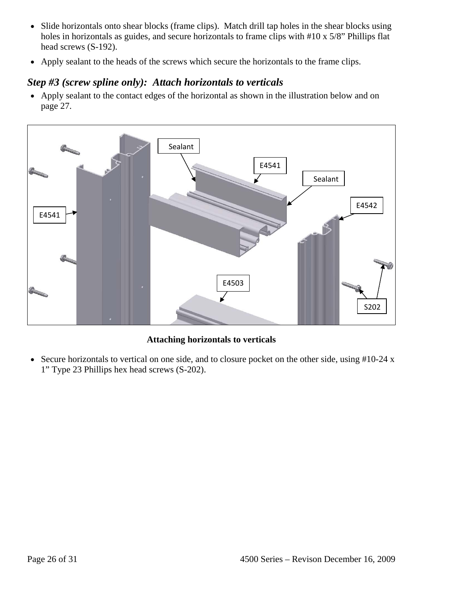- Slide horizontals onto shear blocks (frame clips). Match drill tap holes in the shear blocks using holes in horizontals as guides, and secure horizontals to frame clips with #10 x 5/8" Phillips flat head screws (S-192).
- Apply sealant to the heads of the screws which secure the horizontals to the frame clips.

## *Step #3 (screw spline only): Attach horizontals to verticals*

• Apply sealant to the contact edges of the horizontal as shown in the illustration below and on page 27.



#### **Attaching horizontals to verticals**

• Secure horizontals to vertical on one side, and to closure pocket on the other side, using #10-24 x 1" Type 23 Phillips hex head screws (S-202).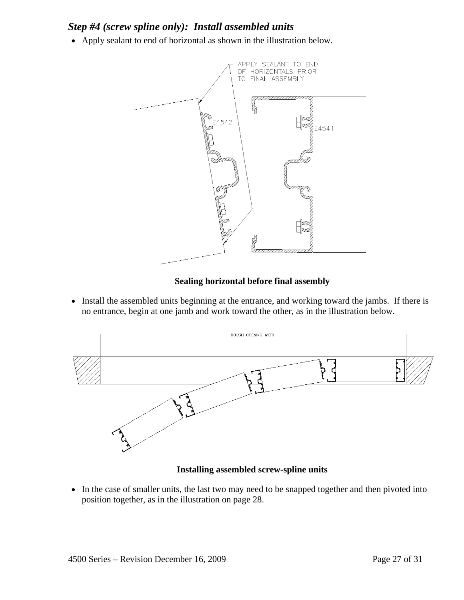### *Step #4 (screw spline only): Install assembled units*

• Apply sealant to end of horizontal as shown in the illustration below.



#### **Sealing horizontal before final assembly**

• Install the assembled units beginning at the entrance, and working toward the jambs. If there is no entrance, begin at one jamb and work toward the other, as in the illustration below.



#### **Installing assembled screw-spline units**

• In the case of smaller units, the last two may need to be snapped together and then pivoted into position together, as in the illustration on page 28.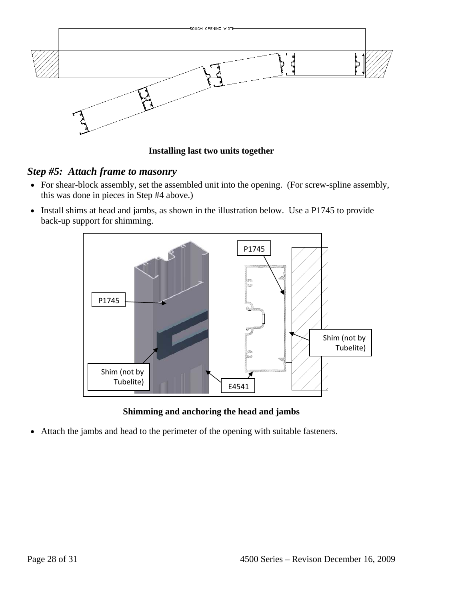

**Installing last two units together** 

### *Step #5: Attach frame to masonry*

- For shear-block assembly, set the assembled unit into the opening. (For screw-spline assembly, this was done in pieces in Step #4 above.)
- Install shims at head and jambs, as shown in the illustration below. Use a P1745 to provide back-up support for shimming.



**Shimming and anchoring the head and jambs** 

• Attach the jambs and head to the perimeter of the opening with suitable fasteners.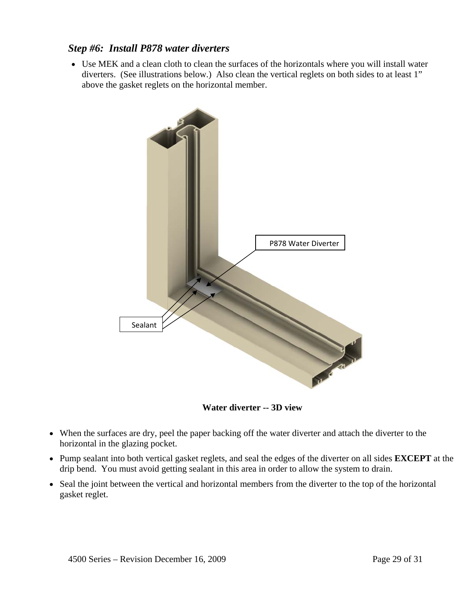#### *Step #6: Install P878 water diverters*

• Use MEK and a clean cloth to clean the surfaces of the horizontals where you will install water diverters. (See illustrations below.) Also clean the vertical reglets on both sides to at least 1" above the gasket reglets on the horizontal member.



**Water diverter -- 3D view** 

- When the surfaces are dry, peel the paper backing off the water diverter and attach the diverter to the horizontal in the glazing pocket.
- Pump sealant into both vertical gasket reglets, and seal the edges of the diverter on all sides **EXCEPT** at the drip bend. You must avoid getting sealant in this area in order to allow the system to drain.
- Seal the joint between the vertical and horizontal members from the diverter to the top of the horizontal gasket reglet.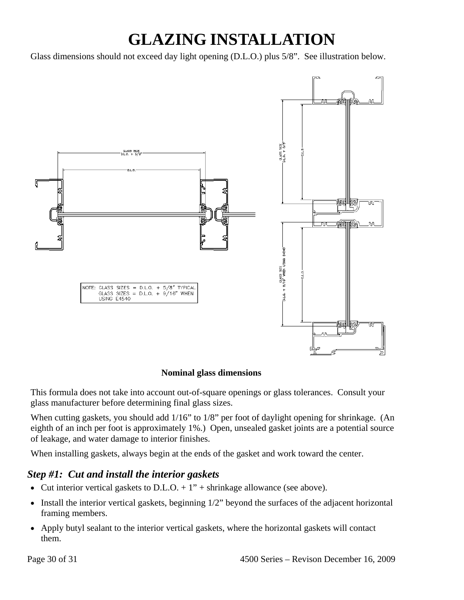## **GLAZING INSTALLATION**

Glass dimensions should not exceed day light opening (D.L.O.) plus 5/8". See illustration below.



#### **Nominal glass dimensions**

This formula does not take into account out-of-square openings or glass tolerances. Consult your glass manufacturer before determining final glass sizes.

When cutting gaskets, you should add 1/16" to 1/8" per foot of daylight opening for shrinkage. (An eighth of an inch per foot is approximately 1%.) Open, unsealed gasket joints are a potential source of leakage, and water damage to interior finishes.

When installing gaskets, always begin at the ends of the gasket and work toward the center.

### *Step #1: Cut and install the interior gaskets*

- Cut interior vertical gaskets to D.L.O.  $+1$ " + shrinkage allowance (see above).
- Install the interior vertical gaskets, beginning  $1/2$ " beyond the surfaces of the adjacent horizontal framing members.
- Apply butyl sealant to the interior vertical gaskets, where the horizontal gaskets will contact them.